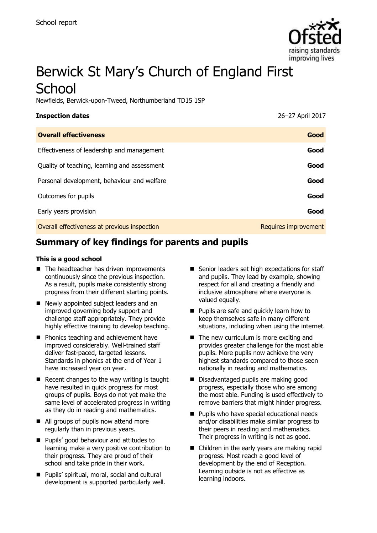

# Berwick St Mary's Church of England First **School**

Newfields, Berwick-upon-Tweed, Northumberland TD15 1SP

| <b>Inspection dates</b>                      | 26-27 April 2017     |
|----------------------------------------------|----------------------|
| <b>Overall effectiveness</b>                 | Good                 |
| Effectiveness of leadership and management   | Good                 |
| Quality of teaching, learning and assessment | Good                 |
| Personal development, behaviour and welfare  | Good                 |
| Outcomes for pupils                          | Good                 |
| Early years provision                        | Good                 |
| Overall effectiveness at previous inspection | Requires improvement |

# **Summary of key findings for parents and pupils**

#### **This is a good school**

- The headteacher has driven improvements continuously since the previous inspection. As a result, pupils make consistently strong progress from their different starting points.
- Newly appointed subject leaders and an improved governing body support and challenge staff appropriately. They provide highly effective training to develop teaching.
- **Phonics teaching and achievement have** improved considerably. Well-trained staff deliver fast-paced, targeted lessons. Standards in phonics at the end of Year 1 have increased year on year.
- $\blacksquare$  Recent changes to the way writing is taught have resulted in quick progress for most groups of pupils. Boys do not yet make the same level of accelerated progress in writing as they do in reading and mathematics.
- All groups of pupils now attend more regularly than in previous years.
- **Pupils' good behaviour and attitudes to** learning make a very positive contribution to their progress. They are proud of their school and take pride in their work.
- Pupils' spiritual, moral, social and cultural development is supported particularly well.
- Senior leaders set high expectations for staff and pupils. They lead by example, showing respect for all and creating a friendly and inclusive atmosphere where everyone is valued equally.
- **Pupils are safe and quickly learn how to** keep themselves safe in many different situations, including when using the internet.
- The new curriculum is more exciting and provides greater challenge for the most able pupils. More pupils now achieve the very highest standards compared to those seen nationally in reading and mathematics.
- Disadvantaged pupils are making good progress, especially those who are among the most able. Funding is used effectively to remove barriers that might hinder progress.
- **Pupils who have special educational needs** and/or disabilities make similar progress to their peers in reading and mathematics. Their progress in writing is not as good.
- Children in the early years are making rapid progress. Most reach a good level of development by the end of Reception. Learning outside is not as effective as learning indoors.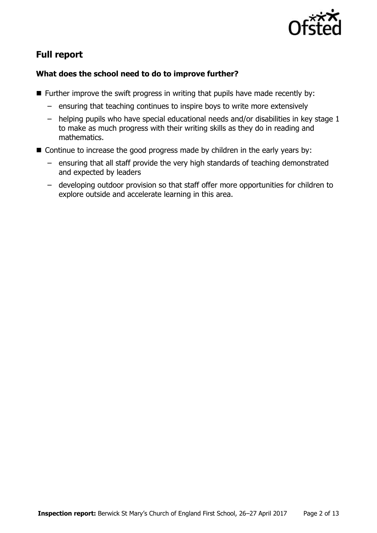

# **Full report**

## **What does the school need to do to improve further?**

- $\blacksquare$  Further improve the swift progress in writing that pupils have made recently by:
	- ensuring that teaching continues to inspire boys to write more extensively
	- helping pupils who have special educational needs and/or disabilities in key stage 1 to make as much progress with their writing skills as they do in reading and mathematics.
- Continue to increase the good progress made by children in the early years by:
	- ensuring that all staff provide the very high standards of teaching demonstrated and expected by leaders
	- developing outdoor provision so that staff offer more opportunities for children to explore outside and accelerate learning in this area.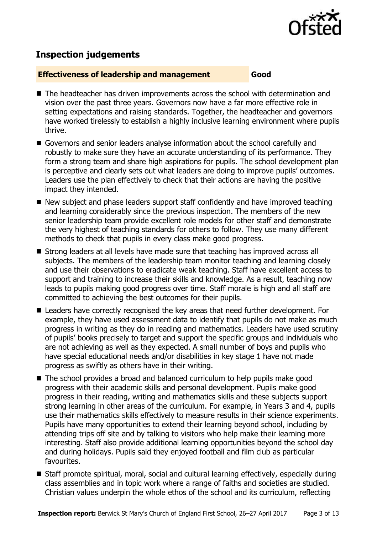

# **Inspection judgements**

#### **Effectiveness of leadership and management Good**

- The headteacher has driven improvements across the school with determination and vision over the past three years. Governors now have a far more effective role in setting expectations and raising standards. Together, the headteacher and governors have worked tirelessly to establish a highly inclusive learning environment where pupils thrive.
- Governors and senior leaders analyse information about the school carefully and robustly to make sure they have an accurate understanding of its performance. They form a strong team and share high aspirations for pupils. The school development plan is perceptive and clearly sets out what leaders are doing to improve pupils' outcomes. Leaders use the plan effectively to check that their actions are having the positive impact they intended.
- New subject and phase leaders support staff confidently and have improved teaching and learning considerably since the previous inspection. The members of the new senior leadership team provide excellent role models for other staff and demonstrate the very highest of teaching standards for others to follow. They use many different methods to check that pupils in every class make good progress.
- Strong leaders at all levels have made sure that teaching has improved across all subjects. The members of the leadership team monitor teaching and learning closely and use their observations to eradicate weak teaching. Staff have excellent access to support and training to increase their skills and knowledge. As a result, teaching now leads to pupils making good progress over time. Staff morale is high and all staff are committed to achieving the best outcomes for their pupils.
- Leaders have correctly recognised the key areas that need further development. For example, they have used assessment data to identify that pupils do not make as much progress in writing as they do in reading and mathematics. Leaders have used scrutiny of pupils' books precisely to target and support the specific groups and individuals who are not achieving as well as they expected. A small number of boys and pupils who have special educational needs and/or disabilities in key stage 1 have not made progress as swiftly as others have in their writing.
- The school provides a broad and balanced curriculum to help pupils make good progress with their academic skills and personal development. Pupils make good progress in their reading, writing and mathematics skills and these subjects support strong learning in other areas of the curriculum. For example, in Years 3 and 4, pupils use their mathematics skills effectively to measure results in their science experiments. Pupils have many opportunities to extend their learning beyond school, including by attending trips off site and by talking to visitors who help make their learning more interesting. Staff also provide additional learning opportunities beyond the school day and during holidays. Pupils said they enjoyed football and film club as particular favourites.
- Staff promote spiritual, moral, social and cultural learning effectively, especially during class assemblies and in topic work where a range of faiths and societies are studied. Christian values underpin the whole ethos of the school and its curriculum, reflecting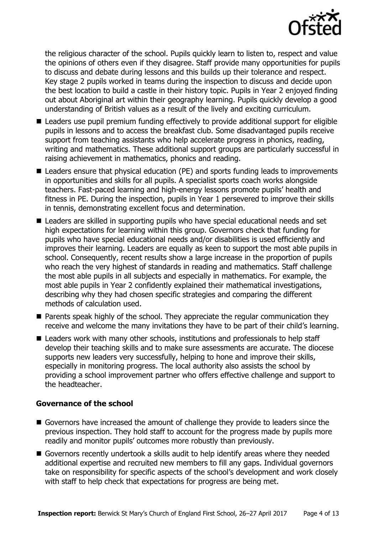

the religious character of the school. Pupils quickly learn to listen to, respect and value the opinions of others even if they disagree. Staff provide many opportunities for pupils to discuss and debate during lessons and this builds up their tolerance and respect. Key stage 2 pupils worked in teams during the inspection to discuss and decide upon the best location to build a castle in their history topic. Pupils in Year 2 enjoyed finding out about Aboriginal art within their geography learning. Pupils quickly develop a good understanding of British values as a result of the lively and exciting curriculum.

- Leaders use pupil premium funding effectively to provide additional support for eligible pupils in lessons and to access the breakfast club. Some disadvantaged pupils receive support from teaching assistants who help accelerate progress in phonics, reading, writing and mathematics. These additional support groups are particularly successful in raising achievement in mathematics, phonics and reading.
- Leaders ensure that physical education (PE) and sports funding leads to improvements in opportunities and skills for all pupils. A specialist sports coach works alongside teachers. Fast-paced learning and high-energy lessons promote pupils' health and fitness in PE. During the inspection, pupils in Year 1 persevered to improve their skills in tennis, demonstrating excellent focus and determination.
- Leaders are skilled in supporting pupils who have special educational needs and set high expectations for learning within this group. Governors check that funding for pupils who have special educational needs and/or disabilities is used efficiently and improves their learning. Leaders are equally as keen to support the most able pupils in school. Consequently, recent results show a large increase in the proportion of pupils who reach the very highest of standards in reading and mathematics. Staff challenge the most able pupils in all subjects and especially in mathematics. For example, the most able pupils in Year 2 confidently explained their mathematical investigations, describing why they had chosen specific strategies and comparing the different methods of calculation used.
- **Parents speak highly of the school. They appreciate the regular communication they** receive and welcome the many invitations they have to be part of their child's learning.
- Leaders work with many other schools, institutions and professionals to help staff develop their teaching skills and to make sure assessments are accurate. The diocese supports new leaders very successfully, helping to hone and improve their skills, especially in monitoring progress. The local authority also assists the school by providing a school improvement partner who offers effective challenge and support to the headteacher.

#### **Governance of the school**

- Governors have increased the amount of challenge they provide to leaders since the previous inspection. They hold staff to account for the progress made by pupils more readily and monitor pupils' outcomes more robustly than previously.
- Governors recently undertook a skills audit to help identify areas where they needed additional expertise and recruited new members to fill any gaps. Individual governors take on responsibility for specific aspects of the school's development and work closely with staff to help check that expectations for progress are being met.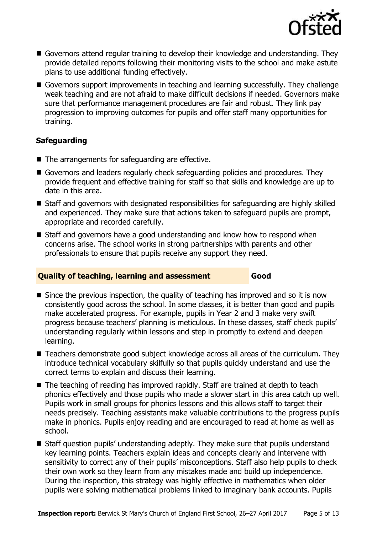

- Governors attend regular training to develop their knowledge and understanding. They provide detailed reports following their monitoring visits to the school and make astute plans to use additional funding effectively.
- Governors support improvements in teaching and learning successfully. They challenge weak teaching and are not afraid to make difficult decisions if needed. Governors make sure that performance management procedures are fair and robust. They link pay progression to improving outcomes for pupils and offer staff many opportunities for training.

## **Safeguarding**

- The arrangements for safeguarding are effective.
- Governors and leaders regularly check safeguarding policies and procedures. They provide frequent and effective training for staff so that skills and knowledge are up to date in this area.
- Staff and governors with designated responsibilities for safeguarding are highly skilled and experienced. They make sure that actions taken to safeguard pupils are prompt, appropriate and recorded carefully.
- Staff and governors have a good understanding and know how to respond when concerns arise. The school works in strong partnerships with parents and other professionals to ensure that pupils receive any support they need.

## **Quality of teaching, learning and assessment Good**

- $\blacksquare$  Since the previous inspection, the quality of teaching has improved and so it is now consistently good across the school. In some classes, it is better than good and pupils make accelerated progress. For example, pupils in Year 2 and 3 make very swift progress because teachers' planning is meticulous. In these classes, staff check pupils' understanding regularly within lessons and step in promptly to extend and deepen learning.
- Teachers demonstrate good subject knowledge across all areas of the curriculum. They introduce technical vocabulary skilfully so that pupils quickly understand and use the correct terms to explain and discuss their learning.
- The teaching of reading has improved rapidly. Staff are trained at depth to teach phonics effectively and those pupils who made a slower start in this area catch up well. Pupils work in small groups for phonics lessons and this allows staff to target their needs precisely. Teaching assistants make valuable contributions to the progress pupils make in phonics. Pupils enjoy reading and are encouraged to read at home as well as school.
- Staff question pupils' understanding adeptly. They make sure that pupils understand key learning points. Teachers explain ideas and concepts clearly and intervene with sensitivity to correct any of their pupils' misconceptions. Staff also help pupils to check their own work so they learn from any mistakes made and build up independence. During the inspection, this strategy was highly effective in mathematics when older pupils were solving mathematical problems linked to imaginary bank accounts. Pupils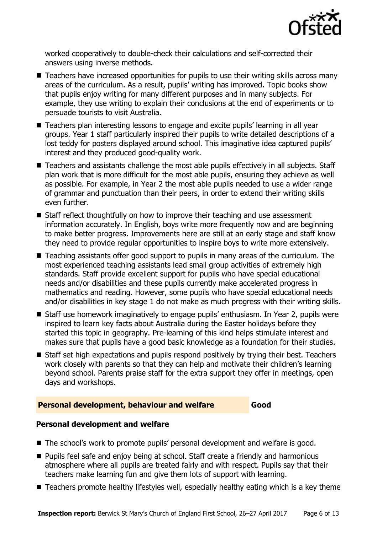

worked cooperatively to double-check their calculations and self-corrected their answers using inverse methods.

- Teachers have increased opportunities for pupils to use their writing skills across many areas of the curriculum. As a result, pupils' writing has improved. Topic books show that pupils enjoy writing for many different purposes and in many subjects. For example, they use writing to explain their conclusions at the end of experiments or to persuade tourists to visit Australia.
- Teachers plan interesting lessons to engage and excite pupils' learning in all year groups. Year 1 staff particularly inspired their pupils to write detailed descriptions of a lost teddy for posters displayed around school. This imaginative idea captured pupils' interest and they produced good-quality work.
- Teachers and assistants challenge the most able pupils effectively in all subjects. Staff plan work that is more difficult for the most able pupils, ensuring they achieve as well as possible. For example, in Year 2 the most able pupils needed to use a wider range of grammar and punctuation than their peers, in order to extend their writing skills even further.
- Staff reflect thoughtfully on how to improve their teaching and use assessment information accurately. In English, boys write more frequently now and are beginning to make better progress. Improvements here are still at an early stage and staff know they need to provide regular opportunities to inspire boys to write more extensively.
- Teaching assistants offer good support to pupils in many areas of the curriculum. The most experienced teaching assistants lead small group activities of extremely high standards. Staff provide excellent support for pupils who have special educational needs and/or disabilities and these pupils currently make accelerated progress in mathematics and reading. However, some pupils who have special educational needs and/or disabilities in key stage 1 do not make as much progress with their writing skills.
- Staff use homework imaginatively to engage pupils' enthusiasm. In Year 2, pupils were inspired to learn key facts about Australia during the Easter holidays before they started this topic in geography. Pre-learning of this kind helps stimulate interest and makes sure that pupils have a good basic knowledge as a foundation for their studies.
- Staff set high expectations and pupils respond positively by trying their best. Teachers work closely with parents so that they can help and motivate their children's learning beyond school. Parents praise staff for the extra support they offer in meetings, open days and workshops.

## **Personal development, behaviour and welfare Good**

## **Personal development and welfare**

- The school's work to promote pupils' personal development and welfare is good.
- **Pupils feel safe and enjoy being at school. Staff create a friendly and harmonious** atmosphere where all pupils are treated fairly and with respect. Pupils say that their teachers make learning fun and give them lots of support with learning.
- Teachers promote healthy lifestyles well, especially healthy eating which is a key theme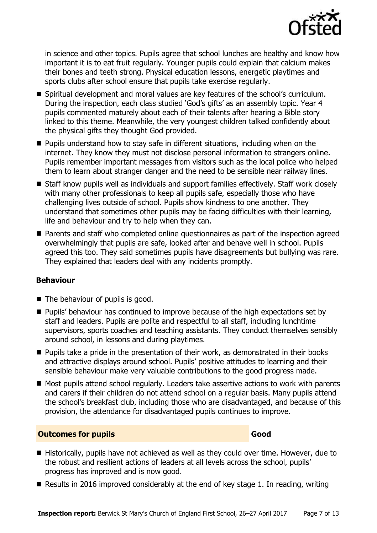

in science and other topics. Pupils agree that school lunches are healthy and know how important it is to eat fruit regularly. Younger pupils could explain that calcium makes their bones and teeth strong. Physical education lessons, energetic playtimes and sports clubs after school ensure that pupils take exercise regularly.

- Spiritual development and moral values are key features of the school's curriculum. During the inspection, each class studied 'God's gifts' as an assembly topic. Year 4 pupils commented maturely about each of their talents after hearing a Bible story linked to this theme. Meanwhile, the very youngest children talked confidently about the physical gifts they thought God provided.
- $\blacksquare$  Pupils understand how to stay safe in different situations, including when on the internet. They know they must not disclose personal information to strangers online. Pupils remember important messages from visitors such as the local police who helped them to learn about stranger danger and the need to be sensible near railway lines.
- Staff know pupils well as individuals and support families effectively. Staff work closely with many other professionals to keep all pupils safe, especially those who have challenging lives outside of school. Pupils show kindness to one another. They understand that sometimes other pupils may be facing difficulties with their learning, life and behaviour and try to help when they can.
- Parents and staff who completed online questionnaires as part of the inspection agreed overwhelmingly that pupils are safe, looked after and behave well in school. Pupils agreed this too. They said sometimes pupils have disagreements but bullying was rare. They explained that leaders deal with any incidents promptly.

## **Behaviour**

- The behaviour of pupils is good.
- **Pupils'** behaviour has continued to improve because of the high expectations set by staff and leaders. Pupils are polite and respectful to all staff, including lunchtime supervisors, sports coaches and teaching assistants. They conduct themselves sensibly around school, in lessons and during playtimes.
- **Pupils take a pride in the presentation of their work, as demonstrated in their books** and attractive displays around school. Pupils' positive attitudes to learning and their sensible behaviour make very valuable contributions to the good progress made.
- Most pupils attend school regularly. Leaders take assertive actions to work with parents and carers if their children do not attend school on a regular basis. Many pupils attend the school's breakfast club, including those who are disadvantaged, and because of this provision, the attendance for disadvantaged pupils continues to improve.

## **Outcomes for pupils Good**

- Historically, pupils have not achieved as well as they could over time. However, due to the robust and resilient actions of leaders at all levels across the school, pupils' progress has improved and is now good.
- Results in 2016 improved considerably at the end of key stage 1. In reading, writing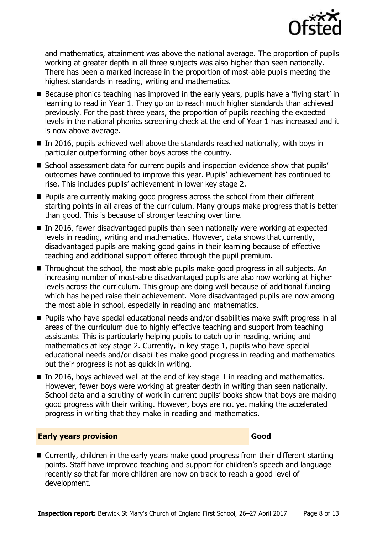

and mathematics, attainment was above the national average. The proportion of pupils working at greater depth in all three subjects was also higher than seen nationally. There has been a marked increase in the proportion of most-able pupils meeting the highest standards in reading, writing and mathematics.

- **Because phonics teaching has improved in the early years, pupils have a 'flying start' in** learning to read in Year 1. They go on to reach much higher standards than achieved previously. For the past three years, the proportion of pupils reaching the expected levels in the national phonics screening check at the end of Year 1 has increased and it is now above average.
- $\blacksquare$  In 2016, pupils achieved well above the standards reached nationally, with boys in particular outperforming other boys across the country.
- School assessment data for current pupils and inspection evidence show that pupils' outcomes have continued to improve this year. Pupils' achievement has continued to rise. This includes pupils' achievement in lower key stage 2.
- **Pupils are currently making good progress across the school from their different** starting points in all areas of the curriculum. Many groups make progress that is better than good. This is because of stronger teaching over time.
- In 2016, fewer disadvantaged pupils than seen nationally were working at expected levels in reading, writing and mathematics. However, data shows that currently, disadvantaged pupils are making good gains in their learning because of effective teaching and additional support offered through the pupil premium.
- Throughout the school, the most able pupils make good progress in all subjects. An increasing number of most-able disadvantaged pupils are also now working at higher levels across the curriculum. This group are doing well because of additional funding which has helped raise their achievement. More disadvantaged pupils are now among the most able in school, especially in reading and mathematics.
- Pupils who have special educational needs and/or disabilities make swift progress in all areas of the curriculum due to highly effective teaching and support from teaching assistants. This is particularly helping pupils to catch up in reading, writing and mathematics at key stage 2. Currently, in key stage 1, pupils who have special educational needs and/or disabilities make good progress in reading and mathematics but their progress is not as quick in writing.
- In 2016, boys achieved well at the end of key stage 1 in reading and mathematics. However, fewer boys were working at greater depth in writing than seen nationally. School data and a scrutiny of work in current pupils' books show that boys are making good progress with their writing. However, boys are not yet making the accelerated progress in writing that they make in reading and mathematics.

#### **Early years provision Good Good**

■ Currently, children in the early years make good progress from their different starting points. Staff have improved teaching and support for children's speech and language recently so that far more children are now on track to reach a good level of development.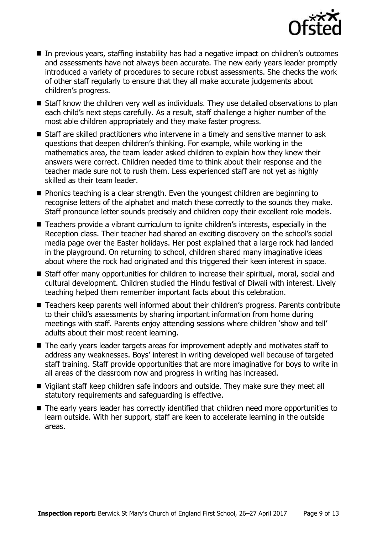

- In previous years, staffing instability has had a negative impact on children's outcomes and assessments have not always been accurate. The new early years leader promptly introduced a variety of procedures to secure robust assessments. She checks the work of other staff regularly to ensure that they all make accurate judgements about children's progress.
- Staff know the children very well as individuals. They use detailed observations to plan each child's next steps carefully. As a result, staff challenge a higher number of the most able children appropriately and they make faster progress.
- Staff are skilled practitioners who intervene in a timely and sensitive manner to ask questions that deepen children's thinking. For example, while working in the mathematics area, the team leader asked children to explain how they knew their answers were correct. Children needed time to think about their response and the teacher made sure not to rush them. Less experienced staff are not yet as highly skilled as their team leader.
- Phonics teaching is a clear strength. Even the youngest children are beginning to recognise letters of the alphabet and match these correctly to the sounds they make. Staff pronounce letter sounds precisely and children copy their excellent role models.
- Teachers provide a vibrant curriculum to ignite children's interests, especially in the Reception class. Their teacher had shared an exciting discovery on the school's social media page over the Easter holidays. Her post explained that a large rock had landed in the playground. On returning to school, children shared many imaginative ideas about where the rock had originated and this triggered their keen interest in space.
- Staff offer many opportunities for children to increase their spiritual, moral, social and cultural development. Children studied the Hindu festival of Diwali with interest. Lively teaching helped them remember important facts about this celebration.
- Teachers keep parents well informed about their children's progress. Parents contribute to their child's assessments by sharing important information from home during meetings with staff. Parents enjoy attending sessions where children 'show and tell' adults about their most recent learning.
- The early years leader targets areas for improvement adeptly and motivates staff to address any weaknesses. Boys' interest in writing developed well because of targeted staff training. Staff provide opportunities that are more imaginative for boys to write in all areas of the classroom now and progress in writing has increased.
- Vigilant staff keep children safe indoors and outside. They make sure they meet all statutory requirements and safeguarding is effective.
- The early years leader has correctly identified that children need more opportunities to learn outside. With her support, staff are keen to accelerate learning in the outside areas.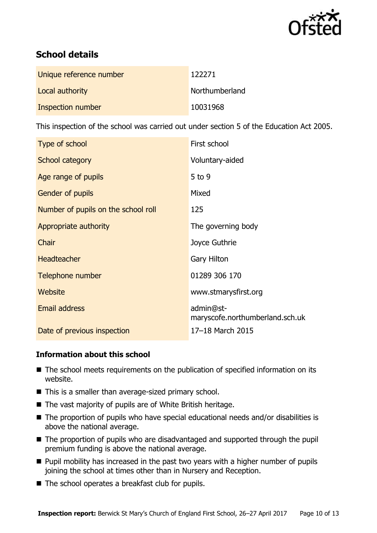

# **School details**

| Unique reference number | 122271         |
|-------------------------|----------------|
| Local authority         | Northumberland |
| Inspection number       | 10031968       |

This inspection of the school was carried out under section 5 of the Education Act 2005.

| Type of school                      | First school                                 |
|-------------------------------------|----------------------------------------------|
| School category                     | Voluntary-aided                              |
| Age range of pupils                 | $5$ to 9                                     |
| Gender of pupils                    | Mixed                                        |
| Number of pupils on the school roll | 125                                          |
| Appropriate authority               | The governing body                           |
| Chair                               | Joyce Guthrie                                |
| <b>Headteacher</b>                  | Gary Hilton                                  |
| Telephone number                    | 01289 306 170                                |
| <b>Website</b>                      | www.stmarysfirst.org                         |
| <b>Email address</b>                | admin@st-<br>maryscofe.northumberland.sch.uk |
| Date of previous inspection         | 17-18 March 2015                             |

## **Information about this school**

- The school meets requirements on the publication of specified information on its website.
- This is a smaller than average-sized primary school.
- The vast majority of pupils are of White British heritage.
- The proportion of pupils who have special educational needs and/or disabilities is above the national average.
- The proportion of pupils who are disadvantaged and supported through the pupil premium funding is above the national average.
- **Pupil mobility has increased in the past two years with a higher number of pupils** joining the school at times other than in Nursery and Reception.
- The school operates a breakfast club for pupils.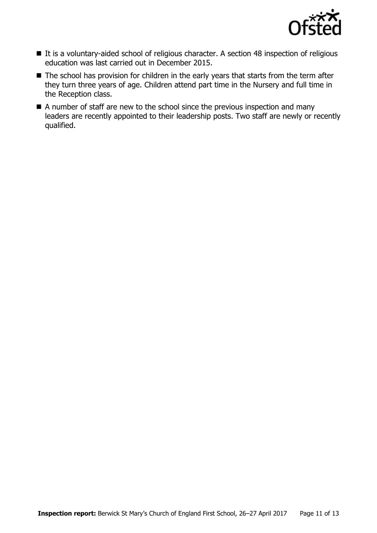

- It is a voluntary-aided school of religious character. A section 48 inspection of religious education was last carried out in December 2015.
- The school has provision for children in the early years that starts from the term after they turn three years of age. Children attend part time in the Nursery and full time in the Reception class.
- A number of staff are new to the school since the previous inspection and many leaders are recently appointed to their leadership posts. Two staff are newly or recently qualified.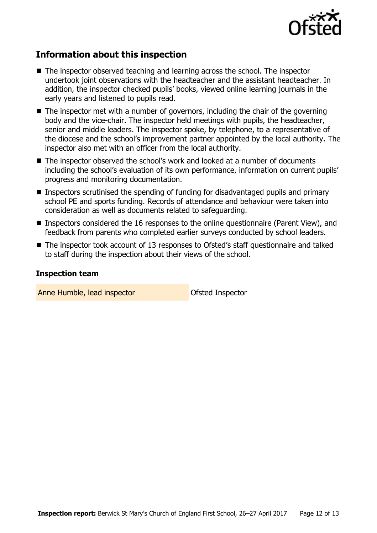

# **Information about this inspection**

- The inspector observed teaching and learning across the school. The inspector undertook joint observations with the headteacher and the assistant headteacher. In addition, the inspector checked pupils' books, viewed online learning journals in the early years and listened to pupils read.
- $\blacksquare$  The inspector met with a number of governors, including the chair of the governing body and the vice-chair. The inspector held meetings with pupils, the headteacher, senior and middle leaders. The inspector spoke, by telephone, to a representative of the diocese and the school's improvement partner appointed by the local authority. The inspector also met with an officer from the local authority.
- The inspector observed the school's work and looked at a number of documents including the school's evaluation of its own performance, information on current pupils' progress and monitoring documentation.
- **Inspectors scrutinised the spending of funding for disadvantaged pupils and primary** school PE and sports funding. Records of attendance and behaviour were taken into consideration as well as documents related to safeguarding.
- Inspectors considered the 16 responses to the online questionnaire (Parent View), and feedback from parents who completed earlier surveys conducted by school leaders.
- The inspector took account of 13 responses to Ofsted's staff questionnaire and talked to staff during the inspection about their views of the school.

#### **Inspection team**

Anne Humble, lead inspector and official Ofsted Inspector